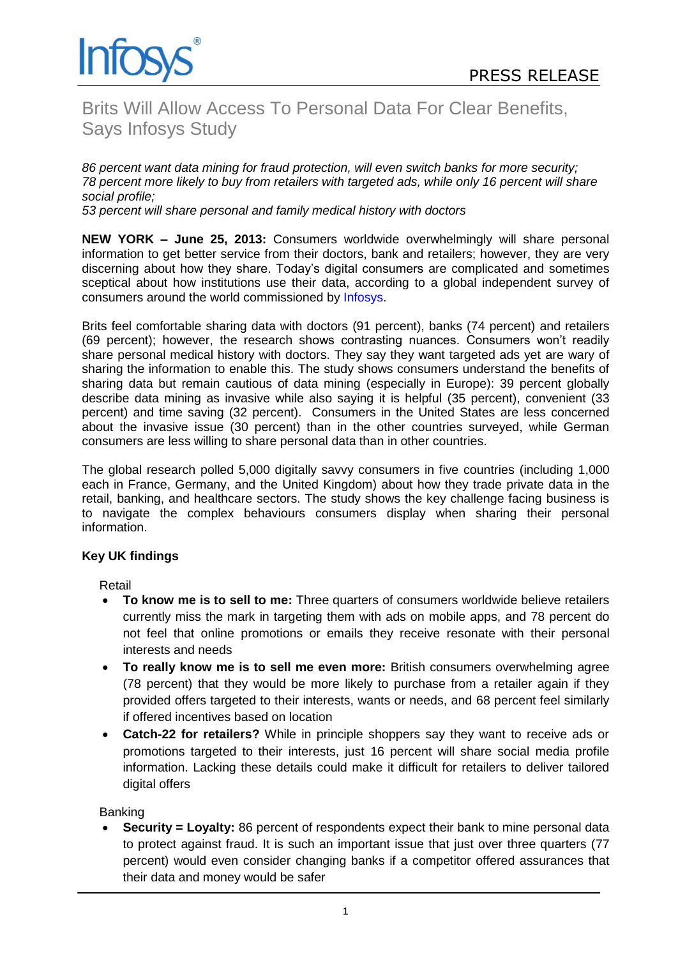

# Brits Will Allow Access To Personal Data For Clear Benefits, Says Infosys Study

*86 percent want data mining for fraud protection, will even switch banks for more security; 78 percent more likely to buy from retailers with targeted ads, while only 16 percent will share social profile;*

*53 percent will share personal and family medical history with doctors*

**NEW YORK – June 25, 2013:** Consumers worldwide overwhelmingly will share personal information to get better service from their doctors, bank and retailers; however, they are very discerning about how they share. Today"s digital consumers are complicated and sometimes sceptical about how institutions use their data, according to a global independent survey of consumers around the world commissioned by [Infosys.](http://www.infosys.com/)

Brits feel comfortable sharing data with doctors (91 percent), banks (74 percent) and retailers (69 percent); however, the research shows contrasting nuances. Consumers won"t readily share personal medical history with doctors. They say they want targeted ads yet are wary of sharing the information to enable this. The study shows consumers understand the benefits of sharing data but remain cautious of data mining (especially in Europe): 39 percent globally describe data mining as invasive while also saying it is helpful (35 percent), convenient (33 percent) and time saving (32 percent). Consumers in the United States are less concerned about the invasive issue (30 percent) than in the other countries surveyed, while German consumers are less willing to share personal data than in other countries.

The global research polled 5,000 digitally savvy consumers in five countries (including 1,000 each in France, Germany, and the United Kingdom) about how they trade private data in the retail, banking, and healthcare sectors. The study shows the key challenge facing business is to navigate the complex behaviours consumers display when sharing their personal information.

## **Key UK findings**

Retail

- **To know me is to sell to me:** Three quarters of consumers worldwide believe retailers currently miss the mark in targeting them with ads on mobile apps, and 78 percent do not feel that online promotions or emails they receive resonate with their personal interests and needs
- **To really know me is to sell me even more:** British consumers overwhelming agree (78 percent) that they would be more likely to purchase from a retailer again if they provided offers targeted to their interests, wants or needs, and 68 percent feel similarly if offered incentives based on location
- **Catch-22 for retailers?** While in principle shoppers say they want to receive ads or promotions targeted to their interests, just 16 percent will share social media profile information. Lacking these details could make it difficult for retailers to deliver tailored digital offers

**Banking** 

 **Security = Loyalty:** 86 percent of respondents expect their bank to mine personal data to protect against fraud. It is such an important issue that just over three quarters (77 percent) would even consider changing banks if a competitor offered assurances that their data and money would be safer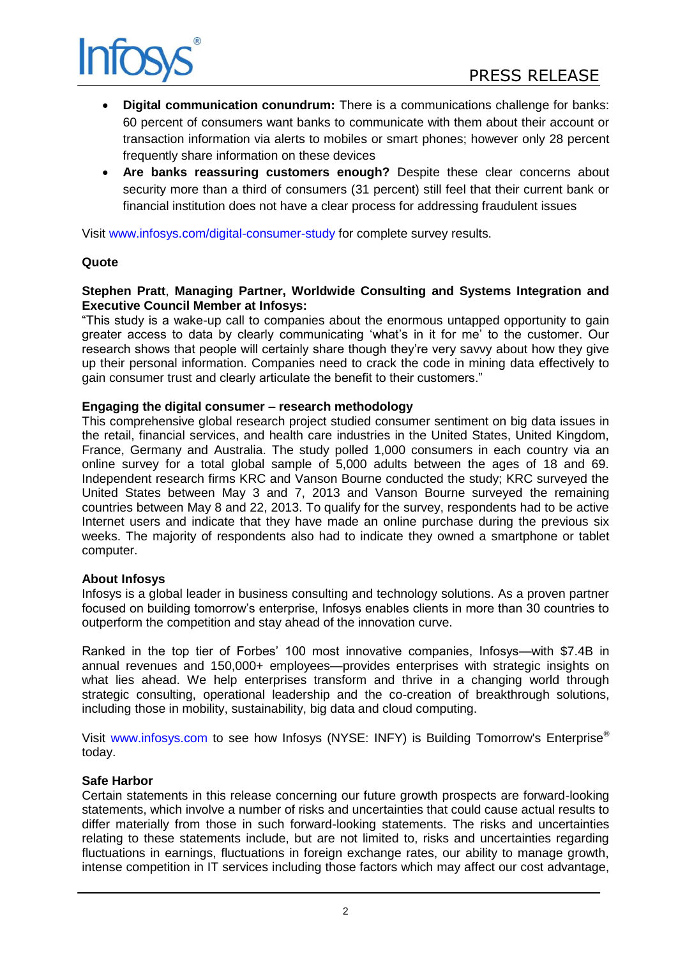

- **Digital communication conundrum:** There is a communications challenge for banks: 60 percent of consumers want banks to communicate with them about their account or transaction information via alerts to mobiles or smart phones; however only 28 percent frequently share information on these devices
- **Are banks reassuring customers enough?** Despite these clear concerns about security more than a third of consumers (31 percent) still feel that their current bank or financial institution does not have a clear process for addressing fraudulent issues

Visit [www.infosys.com/digital-consumer-study](http://www.infosys.com/digital-consumer-study) for complete survey results.

## **Quote**

## **Stephen Pratt**, **Managing Partner, Worldwide Consulting and Systems Integration and Executive Council Member at Infosys:**

"This study is a wake-up call to companies about the enormous untapped opportunity to gain greater access to data by clearly communicating "what"s in it for me" to the customer. Our research shows that people will certainly share though they"re very savvy about how they give up their personal information. Companies need to crack the code in mining data effectively to gain consumer trust and clearly articulate the benefit to their customers."

## **Engaging the digital consumer – research methodology**

This comprehensive global research project studied consumer sentiment on big data issues in the retail, financial services, and health care industries in the United States, United Kingdom, France, Germany and Australia. The study polled 1,000 consumers in each country via an online survey for a total global sample of 5,000 adults between the ages of 18 and 69. Independent research firms KRC and Vanson Bourne conducted the study; KRC surveyed the United States between May 3 and 7, 2013 and Vanson Bourne surveyed the remaining countries between May 8 and 22, 2013. To qualify for the survey, respondents had to be active Internet users and indicate that they have made an online purchase during the previous six weeks. The majority of respondents also had to indicate they owned a smartphone or tablet computer.

## **About Infosys**

Infosys is a global leader in business consulting and technology solutions. As a proven partner focused on building tomorrow"s enterprise, Infosys enables clients in more than 30 countries to outperform the competition and stay ahead of the innovation curve.

Ranked in the top tier of Forbes" 100 most innovative companies, Infosys—with \$7.4B in annual revenues and 150,000+ employees—provides enterprises with strategic insights on what lies ahead. We help enterprises transform and thrive in a changing world through strategic consulting, operational leadership and the co-creation of breakthrough solutions, including those in mobility, sustainability, big data and cloud computing.

Visit [www.infosys.com](http://www.infosys.com/) to see how Infosys (NYSE: INFY) is Building Tomorrow's Enterprise® today.

## **Safe Harbor**

Certain statements in this release concerning our future growth prospects are forward-looking statements, which involve a number of risks and uncertainties that could cause actual results to differ materially from those in such forward-looking statements. The risks and uncertainties relating to these statements include, but are not limited to, risks and uncertainties regarding fluctuations in earnings, fluctuations in foreign exchange rates, our ability to manage growth, intense competition in IT services including those factors which may affect our cost advantage,